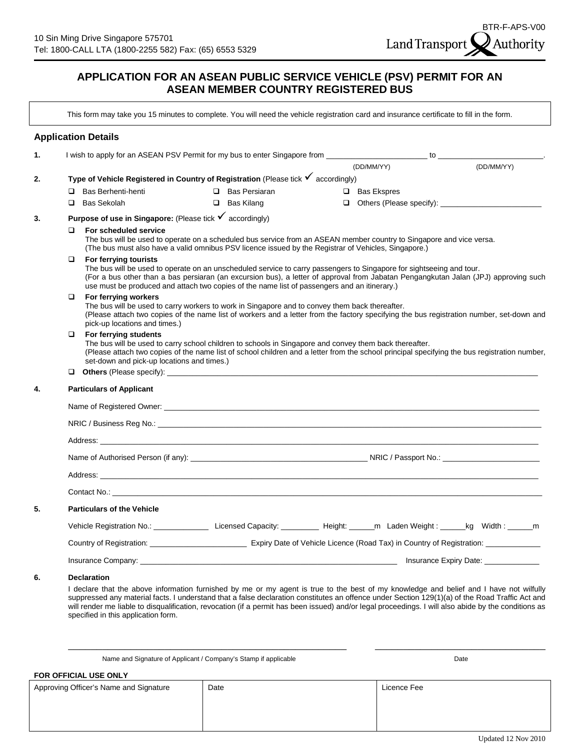# **APPLICATION FOR AN ASEAN PUBLIC SERVICE VEHICLE (PSV) PERMIT FOR AN ASEAN MEMBER COUNTRY REGISTERED BUS**

This form may take you 15 minutes to complete. You will need the vehicle registration card and insurance certificate to fill in the form.

### **Application Details**

| 1. |                                                                                                                                                                                                                                                                                                                                         | I wish to apply for an ASEAN PSV Permit for my bus to enter Singapore from ________________________ to _______                                                                                                                                                                                                                                                                       |  |                      |  |                    |            |  |  |
|----|-----------------------------------------------------------------------------------------------------------------------------------------------------------------------------------------------------------------------------------------------------------------------------------------------------------------------------------------|--------------------------------------------------------------------------------------------------------------------------------------------------------------------------------------------------------------------------------------------------------------------------------------------------------------------------------------------------------------------------------------|--|----------------------|--|--------------------|------------|--|--|
|    |                                                                                                                                                                                                                                                                                                                                         |                                                                                                                                                                                                                                                                                                                                                                                      |  |                      |  | (DD/MM/YY)         | (DD/MM/YY) |  |  |
| 2. |                                                                                                                                                                                                                                                                                                                                         | Type of Vehicle Registered in Country of Registration (Please tick $\checkmark$ accordingly)                                                                                                                                                                                                                                                                                         |  |                      |  |                    |            |  |  |
|    | □                                                                                                                                                                                                                                                                                                                                       | Bas Berhenti-henti                                                                                                                                                                                                                                                                                                                                                                   |  | $\Box$ Bas Persiaran |  | $\Box$ Bas Ekspres |            |  |  |
|    | □                                                                                                                                                                                                                                                                                                                                       | Bas Sekolah                                                                                                                                                                                                                                                                                                                                                                          |  | $\Box$ Bas Kilang    |  |                    |            |  |  |
| 3. | <b>Purpose of use in Singapore:</b> (Please tick $\checkmark$ accordingly)                                                                                                                                                                                                                                                              |                                                                                                                                                                                                                                                                                                                                                                                      |  |                      |  |                    |            |  |  |
|    | For scheduled service<br>□<br>The bus will be used to operate on a scheduled bus service from an ASEAN member country to Singapore and vice versa.<br>(The bus must also have a valid omnibus PSV licence issued by the Registrar of Vehicles, Singapore.)                                                                              |                                                                                                                                                                                                                                                                                                                                                                                      |  |                      |  |                    |            |  |  |
|    | ❏                                                                                                                                                                                                                                                                                                                                       | For ferrying tourists<br>The bus will be used to operate on an unscheduled service to carry passengers to Singapore for sightseeing and tour.<br>(For a bus other than a bas persiaran (an excursion bus), a letter of approval from Jabatan Pengangkutan Jalan (JPJ) approving such<br>use must be produced and attach two copies of the name list of passengers and an itinerary.) |  |                      |  |                    |            |  |  |
|    | For ferrying workers<br>□<br>The bus will be used to carry workers to work in Singapore and to convey them back thereafter.<br>(Please attach two copies of the name list of workers and a letter from the factory specifying the bus registration number, set-down and<br>pick-up locations and times.)                                |                                                                                                                                                                                                                                                                                                                                                                                      |  |                      |  |                    |            |  |  |
|    | $\Box$<br>For ferrying students<br>The bus will be used to carry school children to schools in Singapore and convey them back thereafter.<br>(Please attach two copies of the name list of school children and a letter from the school principal specifying the bus registration number,<br>set-down and pick-up locations and times.) |                                                                                                                                                                                                                                                                                                                                                                                      |  |                      |  |                    |            |  |  |
|    | □                                                                                                                                                                                                                                                                                                                                       |                                                                                                                                                                                                                                                                                                                                                                                      |  |                      |  |                    |            |  |  |
| 4. | <b>Particulars of Applicant</b>                                                                                                                                                                                                                                                                                                         |                                                                                                                                                                                                                                                                                                                                                                                      |  |                      |  |                    |            |  |  |
|    |                                                                                                                                                                                                                                                                                                                                         |                                                                                                                                                                                                                                                                                                                                                                                      |  |                      |  |                    |            |  |  |
|    |                                                                                                                                                                                                                                                                                                                                         |                                                                                                                                                                                                                                                                                                                                                                                      |  |                      |  |                    |            |  |  |
|    |                                                                                                                                                                                                                                                                                                                                         |                                                                                                                                                                                                                                                                                                                                                                                      |  |                      |  |                    |            |  |  |
|    |                                                                                                                                                                                                                                                                                                                                         |                                                                                                                                                                                                                                                                                                                                                                                      |  |                      |  |                    |            |  |  |
|    |                                                                                                                                                                                                                                                                                                                                         |                                                                                                                                                                                                                                                                                                                                                                                      |  |                      |  |                    |            |  |  |
|    | Contact No.: New York Contact No.: New York Contact No.: New York Contact No.: New York Contact No.: New York Contact No.: New York Contact No.: New York Contact No.: New York Contact No.: New York Contact No.: New York Co                                                                                                          |                                                                                                                                                                                                                                                                                                                                                                                      |  |                      |  |                    |            |  |  |
| 5. | <b>Particulars of the Vehicle</b>                                                                                                                                                                                                                                                                                                       |                                                                                                                                                                                                                                                                                                                                                                                      |  |                      |  |                    |            |  |  |
|    |                                                                                                                                                                                                                                                                                                                                         |                                                                                                                                                                                                                                                                                                                                                                                      |  |                      |  |                    |            |  |  |
|    | Country of Registration: Expiry Date of Vehicle Licence (Road Tax) in Country of Registration: Country of Registration:                                                                                                                                                                                                                 |                                                                                                                                                                                                                                                                                                                                                                                      |  |                      |  |                    |            |  |  |
|    |                                                                                                                                                                                                                                                                                                                                         |                                                                                                                                                                                                                                                                                                                                                                                      |  |                      |  |                    |            |  |  |
| 6. |                                                                                                                                                                                                                                                                                                                                         | <b>Declaration</b><br>I declare that the above information furnished by me or my agent is true to the best of my knowledge and belief and I have not wilfully<br>suppressed any material facts. I understand that a false declaration constitutes an offence under Section 129(1)(a) of the Road Traffic Act and                                                                     |  |                      |  |                    |            |  |  |

will render me liable to disqualification, revocation (if a permit has been issued) and/or legal proceedings. I will also abide by the conditions as specified in this application form.

Name and Signature of Applicant / Company's Stamp if applicable Date Date Date

#### **FOR OFFICIAL USE ONLY**

| Approving Officer's Name and Signature | Date | Licence Fee |
|----------------------------------------|------|-------------|
|                                        |      |             |
|                                        |      |             |

\_\_\_\_\_\_\_\_\_\_\_\_\_\_\_\_\_\_\_\_\_\_\_\_\_\_\_\_\_\_\_\_\_\_\_\_\_\_\_\_\_\_\_\_\_\_\_\_\_ \_\_\_\_\_\_\_\_\_\_\_\_\_\_\_\_\_\_\_\_\_\_\_\_\_\_\_\_\_\_